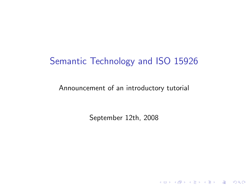# Semantic Technology and ISO 15926

Announcement of an introductory tutorial

September 12th, 2008

K ロ ▶ K @ ▶ K 할 ▶ K 할 ▶ | 할 | X 9 Q Q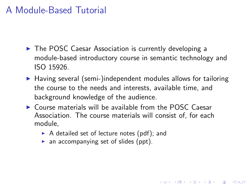## A Module-Based Tutorial

- ▶ The POSC Caesar Association is currently developing a module-based introductory course in semantic technology and ISO 15926.
- $\triangleright$  Having several (semi-)independent modules allows for tailoring the course to the needs and interests, available time, and background knowledge of the audience.

- $\triangleright$  Course materials will be available from the POSC Caesar Association. The course materials will consist of, for each module,
	- $\triangleright$  A detailed set of lecture notes (pdf); and
	- $\triangleright$  an accompanying set of slides (ppt).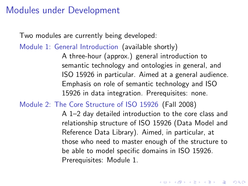#### Modules under Development

Two modules are currently being developed:

Module 1: General Introduction (available shortly) A three-hour (approx.) general introduction to semantic technology and ontologies in general, and ISO 15926 in particular. Aimed at a general audience. Emphasis on role of semantic technology and ISO 15926 in data integration. Prerequisites: none.

Module 2: The Core Structure of ISO 15926 (Fall 2008)

A 1–2 day detailed introduction to the core class and relationship structure of ISO 15926 (Data Model and Reference Data Library). Aimed, in particular, at those who need to master enough of the structure to be able to model specific domains in ISO 15926. Prerequisites: Module 1.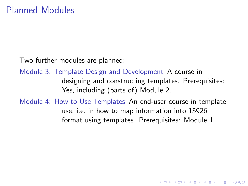Two further modules are planned:

Module 3: Template Design and Development A course in designing and constructing templates. Prerequisites: Yes, including (parts of) Module 2.

Module 4: How to Use Templates An end-user course in template use, i.e. in how to map information into 15926 format using templates. Prerequisites: Module 1.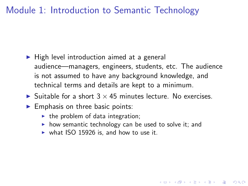## Module 1: Introduction to Semantic Technology

- $\blacktriangleright$  High level introduction aimed at a general audience—managers, engineers, students, etc. The audience is not assumed to have any background knowledge, and technical terms and details are kept to a minimum.
- $\triangleright$  Suitable for a short  $3 \times 45$  minutes lecture. No exercises.
- $\blacktriangleright$  Emphasis on three basic points:
	- $\blacktriangleright$  the problem of data integration;
	- $\triangleright$  how semantic technology can be used to solve it; and

**AD A REAKEN E VOOR** 

 $\triangleright$  what ISO 15926 is, and how to use it.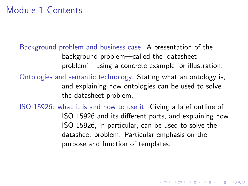#### Module 1 Contents

Background problem and business case. A presentation of the background problem—called the 'datasheet problem'—using a concrete example for illustration.

Ontologies and semantic technology. Stating what an ontology is, and explaining how ontologies can be used to solve the datasheet problem.

ISO 15926: what it is and how to use it. Giving a brief outline of ISO 15926 and its different parts, and explaining how ISO 15926, in particular, can be used to solve the datasheet problem. Particular emphasis on the purpose and function of templates.

**K ロ ▶ K @ ▶ K 할 X K 할 X → 할 X → 9 Q Q ^**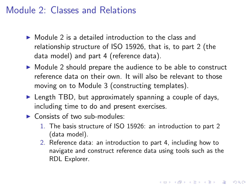#### Module 2: Classes and Relations

- $\triangleright$  Module 2 is a detailed introduction to the class and relationship structure of ISO 15926, that is, to part 2 (the data model) and part 4 (reference data).
- $\triangleright$  Module 2 should prepare the audience to be able to construct reference data on their own. It will also be relevant to those moving on to Module 3 (constructing templates).
- $\blacktriangleright$  Length TBD, but approximately spanning a couple of days, including time to do and present exercises.
- $\triangleright$  Consists of two sub-modules:
	- 1. The basis structure of ISO 15926: an introduction to part 2 (data model).
	- 2. Reference data: an introduction to part 4, including how to navigate and construct reference data using tools such as the RDL Explorer.